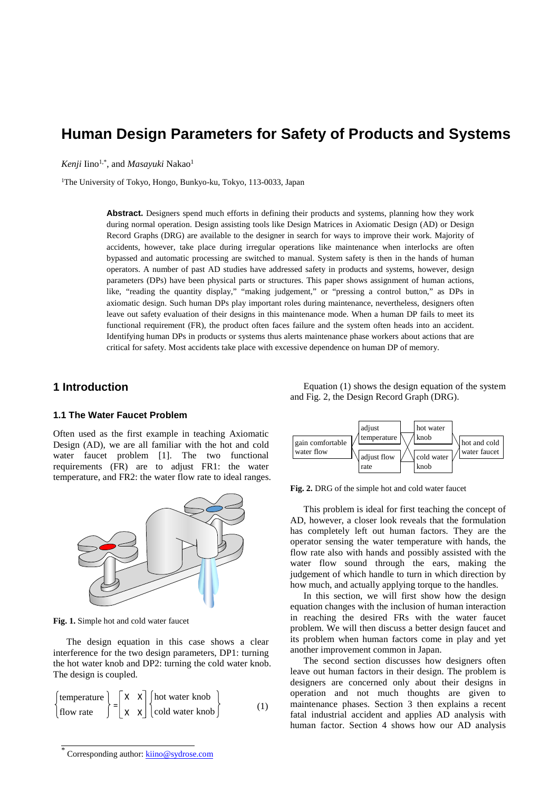# **Human Design Parameters for Safety of Products and Systems**

*Kenji* Iino<sup>1,\*</sup>, and *Masayuki* Nakao<sup>1</sup>

<sup>1</sup>The University of Tokyo, Hongo, Bunkyo-ku, Tokyo, 113-0033, Japan

**Abstract.** Designers spend much efforts in defining their products and systems, planning how they work during normal operation. Design assisting tools like Design Matrices in Axiomatic Design (AD) or Design Record Graphs (DRG) are available to the designer in search for ways to improve their work. Majority of accidents, however, take place during irregular operations like maintenance when interlocks are often bypassed and automatic processing are switched to manual. System safety is then in the hands of human operators. A number of past AD studies have addressed safety in products and systems, however, design parameters (DPs) have been physical parts or structures. This paper shows assignment of human actions, like, "reading the quantity display," "making judgement," or "pressing a control button," as DPs in axiomatic design. Such human DPs play important roles during maintenance, nevertheless, designers often leave out safety evaluation of their designs in this maintenance mode. When a human DP fails to meet its functional requirement (FR), the product often faces failure and the system often heads into an accident. Identifying human DPs in products or systems thus alerts maintenance phase workers about actions that are critical for safety. Most accidents take place with excessive dependence on human DP of memory.

# **1 Introduction**

### **1.1 The Water Faucet Problem**

Often used as the first example in teaching Axiomatic Design (AD), we are all familiar with the hot and cold water faucet problem [1]. The two functional requirements (FR) are to adjust FR1: the water temperature, and FR2: the water flow rate to ideal ranges.



**Fig. 1.** Simple hot and cold water faucet

The design equation in this case shows a clear interference for the two design parameters, DP1: turning the hot water knob and DP2: turning the cold water knob. The design is coupled.

$$
\begin{cases}\n\text{temperature} \\
\text{flow rate}\n\end{cases}\n=\n\begin{bmatrix}\nX & X \\
X & X\n\end{bmatrix}\n\begin{cases}\n\text{hot water knob} \\
\text{cold water knob}\n\end{cases}\n\tag{1}
$$

Equation (1) shows the design equation of the system and Fig. 2, the Design Record Graph (DRG).



**Fig. 2.** DRG of the simple hot and cold water faucet

This problem is ideal for first teaching the concept of AD, however, a closer look reveals that the formulation has completely left out human factors. They are the operator sensing the water temperature with hands, the flow rate also with hands and possibly assisted with the water flow sound through the ears, making the judgement of which handle to turn in which direction by how much, and actually applying torque to the handles.

In this section, we will first show how the design equation changes with the inclusion of human interaction in reaching the desired FRs with the water faucet problem. We will then discuss a better design faucet and its problem when human factors come in play and yet another improvement common in Japan.

The second section discusses how designers often leave out human factors in their design. The problem is designers are concerned only about their designs in operation and not much thoughts are given to maintenance phases. Section 3 then explains a recent fatal industrial accident and applies AD analysis with human factor. Section 4 shows how our AD analysis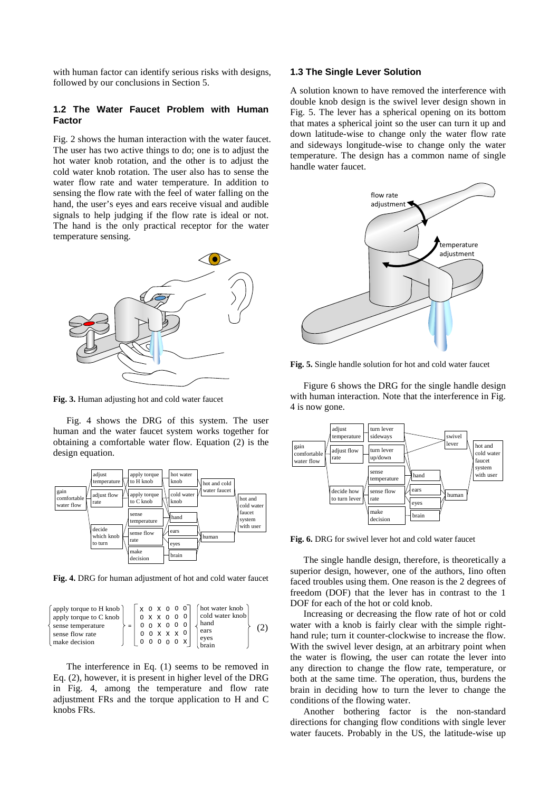with human factor can identify serious risks with designs, followed by our conclusions in Section 5.

### **1.2 The Water Faucet Problem with Human Factor**

Fig. 2 shows the human interaction with the water faucet. The user has two active things to do; one is to adjust the hot water knob rotation, and the other is to adjust the cold water knob rotation. The user also has to sense the water flow rate and water temperature. In addition to sensing the flow rate with the feel of water falling on the hand, the user's eyes and ears receive visual and audible signals to help judging if the flow rate is ideal or not. The hand is the only practical receptor for the water temperature sensing.



**Fig. 3.** Human adjusting hot and cold water faucet

Fig. 4 shows the DRG of this system. The user human and the water faucet system works together for obtaining a comfortable water flow. Equation (2) is the design equation.



**Fig. 4.** DRG for human adjustment of hot and cold water faucet

| apply torque to H knob<br>apply torque to C knob<br>sense temperature<br>sense flow rate | $X$ 0 $X$ 0 0 0 $\overline{0}$ | 0.0 X.0<br>x x x 0 |          | 0 <sub>0</sub> |  | hot water knob<br>cold water knob<br>l hand<br>ears |  |
|------------------------------------------------------------------------------------------|--------------------------------|--------------------|----------|----------------|--|-----------------------------------------------------|--|
| make decision                                                                            |                                |                    | $\Omega$ |                |  | eyes                                                |  |

The interference in Eq. (1) seems to be removed in Eq. (2), however, it is present in higher level of the DRG in Fig. 4, among the temperature and flow rate adjustment FRs and the torque application to H and C knobs FRs.

### **1.3 The Single Lever Solution**

A solution known to have removed the interference with double knob design is the swivel lever design shown in Fig. 5. The lever has a spherical opening on its bottom that mates a spherical joint so the user can turn it up and down latitude-wise to change only the water flow rate and sideways longitude-wise to change only the water temperature. The design has a common name of single handle water faucet.



**Fig. 5.** Single handle solution for hot and cold water faucet

Figure 6 shows the DRG for the single handle design with human interaction. Note that the interference in Fig. 4 is now gone.



**Fig. 6.** DRG for swivel lever hot and cold water faucet

The single handle design, therefore, is theoretically a superior design, however, one of the authors, Iino often faced troubles using them. One reason is the 2 degrees of freedom (DOF) that the lever has in contrast to the 1 DOF for each of the hot or cold knob.

Increasing or decreasing the flow rate of hot or cold water with a knob is fairly clear with the simple righthand rule; turn it counter-clockwise to increase the flow. With the swivel lever design, at an arbitrary point when the water is flowing, the user can rotate the lever into any direction to change the flow rate, temperature, or both at the same time. The operation, thus, burdens the brain in deciding how to turn the lever to change the conditions of the flowing water.

Another bothering factor is the non-standard directions for changing flow conditions with single lever water faucets. Probably in the US, the latitude-wise up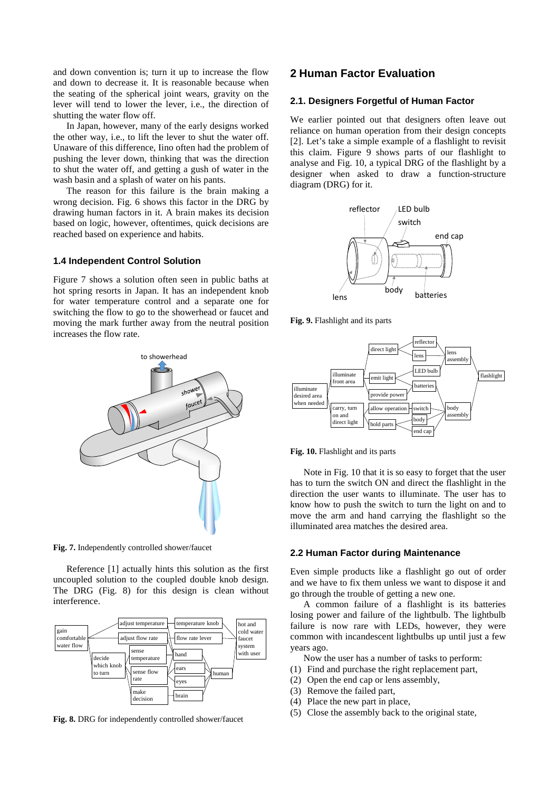and down convention is; turn it up to increase the flow and down to decrease it. It is reasonable because when the seating of the spherical joint wears, gravity on the lever will tend to lower the lever, i.e., the direction of shutting the water flow off.

In Japan, however, many of the early designs worked the other way, i.e., to lift the lever to shut the water off. Unaware of this difference, Iino often had the problem of pushing the lever down, thinking that was the direction to shut the water off, and getting a gush of water in the wash basin and a splash of water on his pants.

The reason for this failure is the brain making a wrong decision. Fig. 6 shows this factor in the DRG by drawing human factors in it. A brain makes its decision based on logic, however, oftentimes, quick decisions are reached based on experience and habits.

#### **1.4 Independent Control Solution**

Figure 7 shows a solution often seen in public baths at hot spring resorts in Japan. It has an independent knob for water temperature control and a separate one for switching the flow to go to the showerhead or faucet and moving the mark further away from the neutral position increases the flow rate.



**Fig. 7.** Independently controlled shower/faucet

Reference [1] actually hints this solution as the first uncoupled solution to the coupled double knob design. The DRG (Fig. 8) for this design is clean without interference.



**Fig. 8.** DRG for independently controlled shower/faucet

# **2 Human Factor Evaluation**

### **2.1. Designers Forgetful of Human Factor**

We earlier pointed out that designers often leave out reliance on human operation from their design concepts [2]. Let's take a simple example of a flashlight to revisit this claim. Figure 9 shows parts of our flashlight to analyse and Fig. 10, a typical DRG of the flashlight by a designer when asked to draw a function-structure diagram (DRG) for it.



**Fig. 9.** Flashlight and its parts





Note in Fig. 10 that it is so easy to forget that the user has to turn the switch ON and direct the flashlight in the direction the user wants to illuminate. The user has to know how to push the switch to turn the light on and to move the arm and hand carrying the flashlight so the illuminated area matches the desired area.

#### **2.2 Human Factor during Maintenance**

Even simple products like a flashlight go out of order and we have to fix them unless we want to dispose it and go through the trouble of getting a new one.

A common failure of a flashlight is its batteries losing power and failure of the lightbulb. The lightbulb failure is now rare with LEDs, however, they were common with incandescent lightbulbs up until just a few years ago.

- Now the user has a number of tasks to perform:
- (1) Find and purchase the right replacement part,
- (2) Open the end cap or lens assembly,
- (3) Remove the failed part,
- (4) Place the new part in place,
- (5) Close the assembly back to the original state,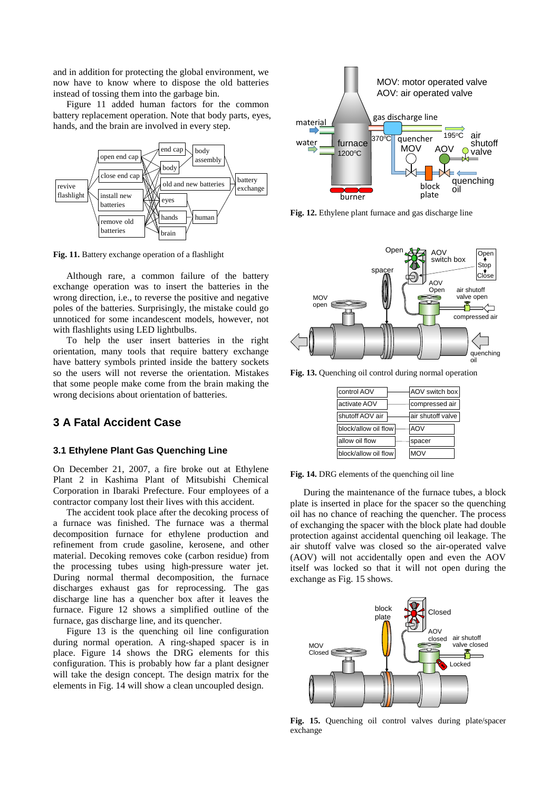and in addition for protecting the global environment, we now have to know where to dispose the old batteries instead of tossing them into the garbage bin.

Figure 11 added human factors for the common battery replacement operation. Note that body parts, eyes, hands, and the brain are involved in every step.



**Fig. 11.** Battery exchange operation of a flashlight

Although rare, a common failure of the battery exchange operation was to insert the batteries in the wrong direction, i.e., to reverse the positive and negative poles of the batteries. Surprisingly, the mistake could go unnoticed for some incandescent models, however, not with flashlights using LED lightbulbs.

To help the user insert batteries in the right orientation, many tools that require battery exchange have battery symbols printed inside the battery sockets so the users will not reverse the orientation. Mistakes that some people make come from the brain making the wrong decisions about orientation of batteries.

# **3 A Fatal Accident Case**

## **3.1 Ethylene Plant Gas Quenching Line**

On December 21, 2007, a fire broke out at Ethylene Plant 2 in Kashima Plant of Mitsubishi Chemical Corporation in Ibaraki Prefecture. Four employees of a contractor company lost their lives with this accident.

The accident took place after the decoking process of a furnace was finished. The furnace was a thermal decomposition furnace for ethylene production and refinement from crude gasoline, kerosene, and other material. Decoking removes coke (carbon residue) from the processing tubes using high-pressure water jet. During normal thermal decomposition, the furnace discharges exhaust gas for reprocessing. The gas discharge line has a quencher box after it leaves the furnace. Figure 12 shows a simplified outline of the furnace, gas discharge line, and its quencher.

Figure 13 is the quenching oil line configuration during normal operation. A ring-shaped spacer is in place. Figure 14 shows the DRG elements for this configuration. This is probably how far a plant designer will take the design concept. The design matrix for the elements in Fig. 14 will show a clean uncoupled design.



**Fig. 12.** Ethylene plant furnace and gas discharge line



**Fig. 13.** Quenching oil control during normal operation

| control AOV          | AOV switch box    |
|----------------------|-------------------|
| activate AOV         | compressed air    |
| shutoff AOV air      | air shutoff valve |
| block/allow oil flow | <b>AOV</b>        |
| allow oil flow       | spacer            |
| block/allow oil flow | <b>MOV</b>        |

**Fig. 14.** DRG elements of the quenching oil line

During the maintenance of the furnace tubes, a block plate is inserted in place for the spacer so the quenching oil has no chance of reaching the quencher. The process of exchanging the spacer with the block plate had double protection against accidental quenching oil leakage. The air shutoff valve was closed so the air-operated valve (AOV) will not accidentally open and even the AOV itself was locked so that it will not open during the exchange as Fig. 15 shows.



**Fig. 15.** Quenching oil control valves during plate/spacer exchange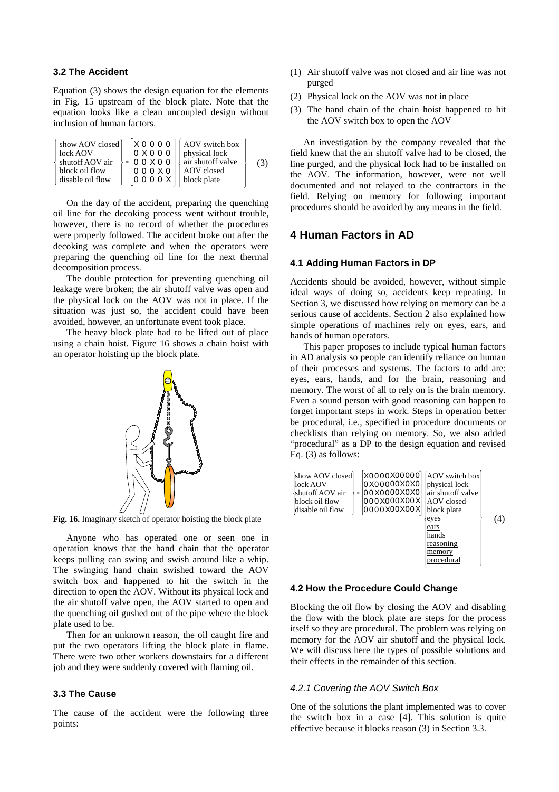## **3.2 The Accident**

Equation (3) shows the design equation for the elements in Fig. 15 upstream of the block plate. Note that the equation looks like a clean uncoupled design without inclusion of human factors.

show AOV closed lock AOV shutoff AOV air block oil flow disable oil flow = AOV switch box physical lock air shutoff valve AOV closed block plate X 0 0 0 0 0 X 0 0 0 0 0 X 0 0 0 0 0 X 0 0 0 0 0 X (3)

On the day of the accident, preparing the quenching oil line for the decoking process went without trouble, however, there is no record of whether the procedures were properly followed. The accident broke out after the decoking was complete and when the operators were preparing the quenching oil line for the next thermal decomposition process.

The double protection for preventing quenching oil leakage were broken; the air shutoff valve was open and the physical lock on the AOV was not in place. If the situation was just so, the accident could have been avoided, however, an unfortunate event took place.

The heavy block plate had to be lifted out of place using a chain hoist. Figure 16 shows a chain hoist with an operator hoisting up the block plate.



**Fig. 16.** Imaginary sketch of operator hoisting the block plate

Anyone who has operated one or seen one in operation knows that the hand chain that the operator keeps pulling can swing and swish around like a whip. The swinging hand chain swished toward the AOV switch box and happened to hit the switch in the direction to open the AOV. Without its physical lock and the air shutoff valve open, the AOV started to open and the quenching oil gushed out of the pipe where the block plate used to be.

Then for an unknown reason, the oil caught fire and put the two operators lifting the block plate in flame. There were two other workers downstairs for a different job and they were suddenly covered with flaming oil.

## **3.3 The Cause**

The cause of the accident were the following three points:

- (1) Air shutoff valve was not closed and air line was not purged
- (2) Physical lock on the AOV was not in place
- (3) The hand chain of the chain hoist happened to hit the AOV switch box to open the AOV

An investigation by the company revealed that the field knew that the air shutoff valve had to be closed, the line purged, and the physical lock had to be installed on the AOV. The information, however, were not well documented and not relayed to the contractors in the field. Relying on memory for following important procedures should be avoided by any means in the field.

# **4 Human Factors in AD**

## **4.1 Adding Human Factors in DP**

Accidents should be avoided, however, without simple ideal ways of doing so, accidents keep repeating. In Section 3, we discussed how relying on memory can be a serious cause of accidents. Section 2 also explained how simple operations of machines rely on eyes, ears, and hands of human operators.

This paper proposes to include typical human factors in AD analysis so people can identify reliance on human of their processes and systems. The factors to add are: eyes, ears, hands, and for the brain, reasoning and memory. The worst of all to rely on is the brain memory. Even a sound person with good reasoning can happen to forget important steps in work. Steps in operation better be procedural, i.e., specified in procedure documents or checklists than relying on memory. So, we also added "procedural" as a DP to the design equation and revised Eq. (3) as follows:



#### **4.2 How the Procedure Could Change**

Blocking the oil flow by closing the AOV and disabling the flow with the block plate are steps for the process itself so they are procedural. The problem was relying on memory for the AOV air shutoff and the physical lock. We will discuss here the types of possible solutions and their effects in the remainder of this section.

#### 4.2.1 Covering the AOV Switch Box

One of the solutions the plant implemented was to cover the switch box in a case [4]. This solution is quite effective because it blocks reason (3) in Section 3.3.